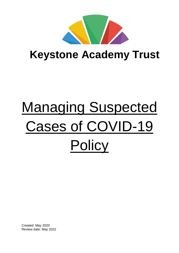

# **Keystone Academy Trust**

# Managing Suspected Cases of COVID-19 **Policy**

Created: May 2020 Review date: May 2022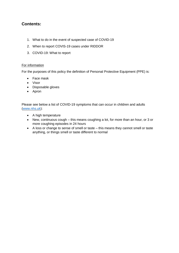# **Contents:**

- 1. What to do in the event of suspected case of COVID-19
- 2. When to report COVIS-19 cases under RIDDOR
- 3. COVID-19: What to report

#### For information

For the purposes of this policy the definition of Personal Protective Equipment (PPE) is:

- Face mask
- Visor
- Disposable gloves
- Apron

Please see below a list of COVID-19 symptoms that can occur in children and adults [\(www.nhs.uk\)](http://www.nhs.uk/):

- A high temperature
- New, continuous cough this means coughing a lot, for more than an hour, or 3 or more coughing episodes in 24 hours
- A loss or change to sense of smell or taste this means they cannot smell or taste anything, or things smell or taste different to normal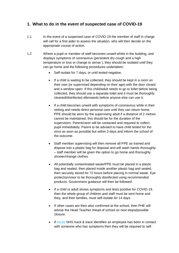# **1. What to do in the event of suspected case of COVID-19**

- 1.1 In the event of a suspected case of COVID-19 the member of staff in charge will call for a first aider to assess the situation, who will then decide on the appropriate course of action.
- 1.2 Where a pupil or member of staff becomes unwell whilst in the building, and displays symptoms of coronavirus (persistent dry cough and a high temperature or loss or change to sense ), they should be isolated until they can go home and the following procedures undertaken;
	- Self-isolate for 7 days, or until tested negative.
	- If a child is waiting to be collected, they should be kept in a room on their own (or supervised depending on their age) with the door closed and a window open. If this child/adult needs to go to toilet before being collected, they should use a separate toilet and it must be thoroughly cleaned/disinfected afterwards before anyone else can use it.
	- If a child becomes unwell with symptoms of coronavirus while in their setting and needs direct personal care until they can return home, PPE should be worn by the supervising adult if a distance of 2 metres cannot be maintained; this should be for the duration of the supervision. Parent/carer will be contacted and required to collect pupil immediately. Parent to be advised to have child tested for the virus as soon as possible but within 3 days and inform the school of the outcome.
	- Staff member supervising will then remove all PPE as trained and dispose into a plastic bag for disposal and will wash hands thoroughly – staff member will be given the option to go home and thoroughly shower/change clothes*.*
	- All potentially contaminated waste/PPE must be placed in a plastic bag and sealed, then placed inside another plastic bag and sealed, then securely stored for 72 hours before placing in normal waste. Eye protection/visor to be thoroughly disinfected using recommended products. Government guidance will then be followed.
	- If a child or adult shows symptoms and tests positive for COVID-19, then the whole group of children and staff must be sent home and they, and their families, must self-isolate for 14 days.
	- If other cases are then also confirmed at the school, then PHE will advise the Head Teacher /Head of school on next steps/possible closure.
	- If future NHS track & trace identifies an employee has been in contact with someone who has symptoms then they will be required to self-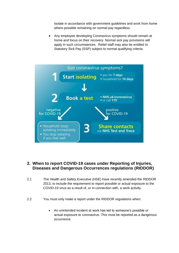isolate in accordance with government guidelines and work from home where possible remaining on normal pay regardless.

 Any employee developing Coronavirus symptoms should remain at home and focus on their recovery. Normal sick pay provisions will apply in such circumstances. Relief staff may also be entitled to Statutory Sick Pay (SSP) subject to normal qualifying criteria.



### **2. When to report COVID-19 cases under Reporting of Injuries, Diseases and Dangerous Occurrences regulations (RIDDOR)**

- 2.1 The Health and Safety Executive (HSE) have recently amended the RIDDOR 2013, to include the requirement to report possible or actual exposure to the COVID-19 virus as a result of, or in connection with, a work activity.
- 2.2 You must only make a report under the RIDDOR regulations when:
	- An unintended incident at work has led to someone's possible or actual exposure to coronavirus. This must be reported as a dangerous occurrence.